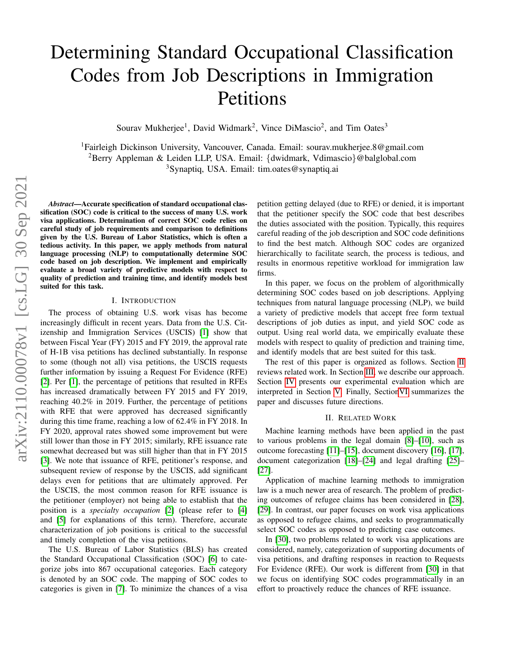# Determining Standard Occupational Classification Codes from Job Descriptions in Immigration Petitions

Sourav Mukherjee<sup>1</sup>, David Widmark<sup>2</sup>, Vince DiMascio<sup>2</sup>, and Tim Oates<sup>3</sup>

<sup>1</sup>Fairleigh Dickinson University, Vancouver, Canada. Email: sourav.mukherjee.8@gmail.com <sup>2</sup>Berry Appleman & Leiden LLP, USA. Email: {dwidmark, Vdimascio}@balglobal.com <sup>3</sup>Synaptiq, USA. Email: tim.oates@synaptiq.ai

*Abstract*—Accurate specification of standard occupational classification (SOC) code is critical to the success of many U.S. work visa applications. Determination of correct SOC code relies on careful study of job requirements and comparison to definitions given by the U.S. Bureau of Labor Statistics, which is often a tedious activity. In this paper, we apply methods from natural language processing (NLP) to computationally determine SOC code based on job description. We implement and empirically evaluate a broad variety of predictive models with respect to quality of prediction and training time, and identify models best suited for this task.

#### I. INTRODUCTION

The process of obtaining U.S. work visas has become increasingly difficult in recent years. Data from the U.S. Citizenship and Immigration Services (USCIS) [\[1\]](#page-3-0) show that between Fiscal Year (FY) 2015 and FY 2019, the approval rate of H-1B visa petitions has declined substantially. In response to some (though not all) visa petitions, the USCIS requests further information by issuing a Request For Evidence (RFE) [\[2\]](#page-4-0). Per [\[1\]](#page-3-0), the percentage of petitions that resulted in RFEs has increased dramatically between FY 2015 and FY 2019, reaching 40.2% in 2019. Further, the percentage of petitions with RFE that were approved has decreased significantly during this time frame, reaching a low of 62.4% in FY 2018. In FY 2020, approval rates showed some improvement but were still lower than those in FY 2015; similarly, RFE issuance rate somewhat decreased but was still higher than that in FY 2015 [\[3\]](#page-4-1). We note that issuance of RFE, petitioner's response, and subsequent review of response by the USCIS, add significant delays even for petitions that are ultimately approved. Per the USCIS, the most common reason for RFE issuance is the petitioner (employer) not being able to establish that the position is a *specialty occupation* [\[2\]](#page-4-0) (please refer to [\[4\]](#page-4-2) and [\[5\]](#page-4-3) for explanations of this term). Therefore, accurate characterization of job positions is critical to the successful and timely completion of the visa petitions.

The U.S. Bureau of Labor Statistics (BLS) has created the Standard Occupational Classification (SOC) [\[6\]](#page-4-4) to categorize jobs into 867 occupational categories. Each category is denoted by an SOC code. The mapping of SOC codes to categories is given in [\[7\]](#page-4-5). To minimize the chances of a visa petition getting delayed (due to RFE) or denied, it is important that the petitioner specify the SOC code that best describes the duties associated with the position. Typically, this requires careful reading of the job description and SOC code definitions to find the best match. Although SOC codes are organized hierarchically to facilitate search, the process is tedious, and results in enormous repetitive workload for immigration law firms.

In this paper, we focus on the problem of algorithmically determining SOC codes based on job descriptions. Applying techniques from natural language processing (NLP), we build a variety of predictive models that accept free form textual descriptions of job duties as input, and yield SOC code as output. Using real world data, we empirically evaluate these models with respect to quality of prediction and training time, and identify models that are best suited for this task.

The rest of this paper is organized as follows. Section [II](#page-0-0) reviews related work. In Section [III,](#page-1-0) we describe our approach. Section [IV](#page-1-1) presents our experimental evaluation which are interpreted in Section [V.](#page-3-1) Finally, Sectio[nVI](#page-3-2) summarizes the paper and discusses future directions.

#### II. RELATED WORK

<span id="page-0-0"></span>Machine learning methods have been applied in the past to various problems in the legal domain [\[8\]](#page-4-6)–[\[10\]](#page-4-7), such as outcome forecasting [\[11\]](#page-4-8)–[\[15\]](#page-4-9), document discovery [\[16\]](#page-4-10), [\[17\]](#page-4-11), document categorization [\[18\]](#page-4-12)–[\[24\]](#page-4-13) and legal drafting [\[25\]](#page-4-14)– [\[27\]](#page-4-15).

Application of machine learning methods to immigration law is a much newer area of research. The problem of predicting outcomes of refugee claims has been considered in [\[28\]](#page-4-16), [\[29\]](#page-4-17). In contrast, our paper focuses on work visa applications as opposed to refugee claims, and seeks to programmatically select SOC codes as opposed to predicting case outcomes.

In [\[30\]](#page-4-18), two problems related to work visa applications are considered, namely, categorization of supporting documents of visa petitions, and drafting responses in reaction to Requests For Evidence (RFE). Our work is different from [\[30\]](#page-4-18) in that we focus on identifying SOC codes programmatically in an effort to proactively reduce the chances of RFE issuance.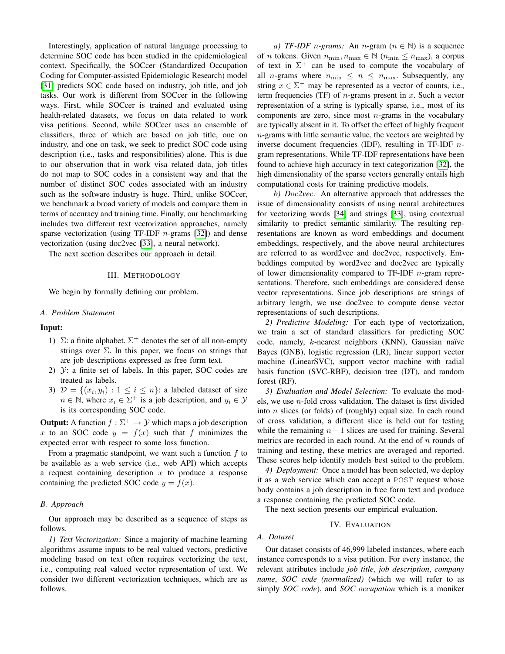Interestingly, application of natural language processing to determine SOC code has been studied in the epidemiological context. Specifically, the SOCcer (Standardized Occupation Coding for Computer-assisted Epidemiologic Research) model [\[31\]](#page-4-19) predicts SOC code based on industry, job title, and job tasks. Our work is different from SOCcer in the following ways. First, while SOCcer is trained and evaluated using health-related datasets, we focus on data related to work visa petitions. Second, while SOCcer uses an ensemble of classifiers, three of which are based on job title, one on industry, and one on task, we seek to predict SOC code using description (i.e., tasks and responsibilities) alone. This is due to our observation that in work visa related data, job titles do not map to SOC codes in a consistent way and that the number of distinct SOC codes associated with an industry such as the software industry is huge. Third, unlike SOCcer, we benchmark a broad variety of models and compare them in terms of accuracy and training time. Finally, our benchmarking includes two different text vectorization approaches, namely sparse vectorization (using TF-IDF  $n$ -grams [\[32\]](#page-4-20)) and dense vectorization (using doc2vec [\[33\]](#page-5-0), a neural network).

<span id="page-1-0"></span>The next section describes our approach in detail.

#### III. METHODOLOGY

We begin by formally defining our problem.

#### *A. Problem Statement*

# Input:

- 1)  $\Sigma$ : a finite alphabet.  $\Sigma^+$  denotes the set of all non-empty strings over  $\Sigma$ . In this paper, we focus on strings that are job descriptions expressed as free form text.
- 2)  $\mathcal{Y}$ : a finite set of labels. In this paper, SOC codes are treated as labels.
- 3)  $\mathcal{D} = \{(x_i, y_i) : 1 \leq i \leq n\}$ : a labeled dataset of size  $n \in \mathbb{N}$ , where  $x_i \in \Sigma^+$  is a job description, and  $y_i \in \mathcal{Y}$ is its corresponding SOC code.

**Output:** A function  $f : \Sigma^+ \to \mathcal{Y}$  which maps a job description x to an SOC code  $y = f(x)$  such that f minimizes the expected error with respect to some loss function.

From a pragmatic standpoint, we want such a function  $f$  to be available as a web service (i.e., web API) which accepts a request containing description  $x$  to produce a response containing the predicted SOC code  $y = f(x)$ .

## *B. Approach*

Our approach may be described as a sequence of steps as follows.

*1) Text Vectorization:* Since a majority of machine learning algorithms assume inputs to be real valued vectors, predictive modeling based on text often requires vectorizing the text, i.e., computing real valued vector representation of text. We consider two different vectorization techniques, which are as follows.

*a) TF-IDF n-grams:* An *n-gram* ( $n \in \mathbb{N}$ ) is a sequence of *n* tokens. Given  $n_{\min}, n_{\max} \in \mathbb{N}$  ( $n_{\min} \leq n_{\max}$ ), a corpus of text in  $\Sigma^+$  can be used to compute the vocabulary of all *n*-grams where  $n_{\min} \leq n \leq n_{\max}$ . Subsequently, any string  $x \in \Sigma^+$  may be represented as a vector of counts, i.e., term frequencies (TF) of  $n$ -grams present in  $x$ . Such a vector representation of a string is typically sparse, i.e., most of its components are zero, since most  $n$ -grams in the vocabulary are typically absent in it. To offset the effect of highly frequent  $n$ -grams with little semantic value, the vectors are weighted by inverse document frequencies (IDF), resulting in TF-IDF ngram representations. While TF-IDF representations have been found to achieve high accuracy in text categorization [\[32\]](#page-4-20), the high dimensionality of the sparse vectors generally entails high computational costs for training predictive models.

*b) Doc2vec:* An alternative approach that addresses the issue of dimensionality consists of using neural architectures for vectorizing words [\[34\]](#page-5-1) and strings [\[33\]](#page-5-0), using contextual similarity to predict semantic similarity. The resulting representations are known as word embeddings and document embeddings, respectively, and the above neural architectures are referred to as word2vec and doc2vec, respectively. Embeddings computed by word2vec and doc2vec are typically of lower dimensionality compared to TF-IDF  $n$ -gram representations. Therefore, such embeddings are considered dense vector representations. Since job descriptions are strings of arbitrary length, we use doc2vec to compute dense vector representations of such descriptions.

*2) Predictive Modeling:* For each type of vectorization, we train a set of standard classifiers for predicting SOC code, namely,  $k$ -nearest neighbors (KNN), Gaussian naïve Bayes (GNB), logistic regression (LR), linear support vector machine (LinearSVC), support vector machine with radial basis function (SVC-RBF), decision tree (DT), and random forest (RF).

*3) Evaluation and Model Selection:* To evaluate the models, we use  $n$ -fold cross validation. The dataset is first divided into n slices (or folds) of (roughly) equal size. In each round of cross validation, a different slice is held out for testing while the remaining  $n-1$  slices are used for training. Several metrics are recorded in each round. At the end of  $n$  rounds of training and testing, these metrics are averaged and reported. These scores help identify models best suited to the problem.

*4) Deployment:* Once a model has been selected, we deploy it as a web service which can accept a POST request whose body contains a job description in free form text and produce a response containing the predicted SOC code.

The next section presents our empirical evaluation.

#### IV. EVALUATION

# <span id="page-1-1"></span>*A. Dataset*

Our dataset consists of 46,999 labeled instances, where each instance corresponds to a visa petition. For every instance, the relevant attributes include *job title*, *job description*, *company name*, *SOC code (normalized)* (which we will refer to as simply *SOC code*), and *SOC occupation* which is a moniker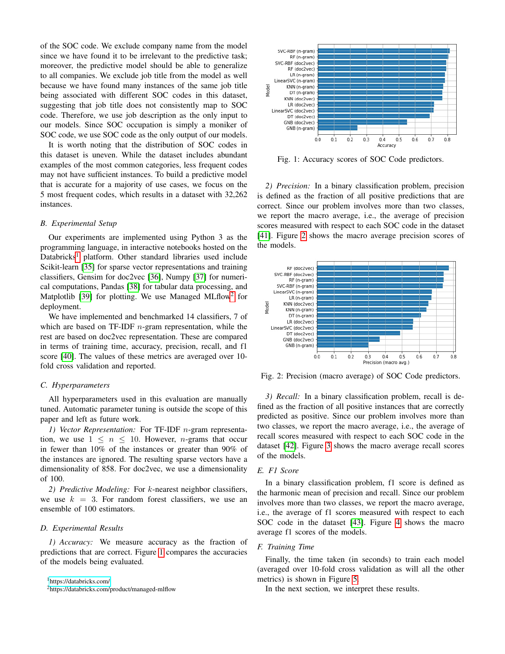of the SOC code. We exclude company name from the model since we have found it to be irrelevant to the predictive task; moreover, the predictive model should be able to generalize to all companies. We exclude job title from the model as well because we have found many instances of the same job title being associated with different SOC codes in this dataset, suggesting that job title does not consistently map to SOC code. Therefore, we use job description as the only input to our models. Since SOC occupation is simply a moniker of SOC code, we use SOC code as the only output of our models.

It is worth noting that the distribution of SOC codes in this dataset is uneven. While the dataset includes abundant examples of the most common categories, less frequent codes may not have sufficient instances. To build a predictive model that is accurate for a majority of use cases, we focus on the 5 most frequent codes, which results in a dataset with 32,262 instances.

## *B. Experimental Setup*

Our experiments are implemented using Python 3 as the programming language, in interactive notebooks hosted on the Databricks<sup>[1](#page-2-0)</sup> platform. Other standard libraries used include Scikit-learn [\[35\]](#page-5-2) for sparse vector representations and training classifiers, Gensim for doc2vec [\[36\]](#page-5-3), Numpy [\[37\]](#page-5-4) for numerical computations, Pandas [\[38\]](#page-5-5) for tabular data processing, and Matplotlib [\[39\]](#page-5-6) for plotting. We use Managed MLflow<sup>[2](#page-2-1)</sup> for deployment.

We have implemented and benchmarked 14 classifiers, 7 of which are based on  $TF-IDF$  *n*-gram representation, while the rest are based on doc2vec representation. These are compared in terms of training time, accuracy, precision, recall, and f1 score [\[40\]](#page-5-7). The values of these metrics are averaged over 10 fold cross validation and reported.

## *C. Hyperparameters*

All hyperparameters used in this evaluation are manually tuned. Automatic parameter tuning is outside the scope of this paper and left as future work.

*1) Vector Representation:* For TF-IDF n-gram representation, we use  $1 \leq n \leq 10$ . However, *n*-grams that occur in fewer than 10% of the instances or greater than 90% of the instances are ignored. The resulting sparse vectors have a dimensionality of 858. For doc2vec, we use a dimensionality of 100.

*2) Predictive Modeling:* For k-nearest neighbor classifiers, we use  $k = 3$ . For random forest classifiers, we use an ensemble of 100 estimators.

# *D. Experimental Results*

*1) Accuracy:* We measure accuracy as the fraction of predictions that are correct. Figure [1](#page-2-2) compares the accuracies of the models being evaluated.

<span id="page-2-2"></span>

Fig. 1: Accuracy scores of SOC Code predictors.

*2) Precision:* In a binary classification problem, precision is defined as the fraction of all positive predictions that are correct. Since our problem involves more than two classes, we report the macro average, i.e., the average of precision scores measured with respect to each SOC code in the dataset [\[41\]](#page-5-8). Figure [2](#page-2-3) shows the macro average precision scores of the models.

<span id="page-2-3"></span>

Fig. 2: Precision (macro average) of SOC Code predictors.

*3) Recall:* In a binary classification problem, recall is defined as the fraction of all positive instances that are correctly predicted as positive. Since our problem involves more than two classes, we report the macro average, i.e., the average of recall scores measured with respect to each SOC code in the dataset [\[42\]](#page-5-9). Figure [3](#page-3-3) shows the macro average recall scores of the models.

## *E. F1 Score*

In a binary classification problem, f1 score is defined as the harmonic mean of precision and recall. Since our problem involves more than two classes, we report the macro average, i.e., the average of f1 scores measured with respect to each SOC code in the dataset [\[43\]](#page-5-10). Figure [4](#page-3-4) shows the macro average f1 scores of the models.

# *F. Training Time*

Finally, the time taken (in seconds) to train each model (averaged over 10-fold cross validation as will all the other metrics) is shown in Figure [5.](#page-3-5)

In the next section, we interpret these results.

<span id="page-2-0"></span><sup>1</sup><https://databricks.com/>

<span id="page-2-1"></span><sup>2</sup>https://databricks.com/product/managed-mlflow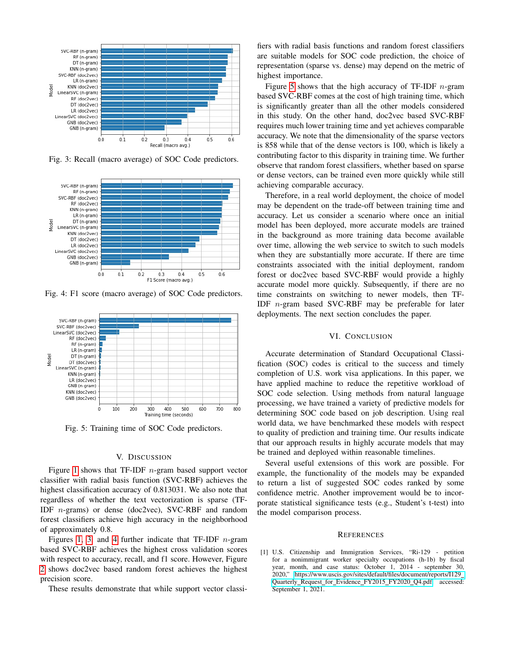<span id="page-3-3"></span>

Fig. 3: Recall (macro average) of SOC Code predictors.

<span id="page-3-4"></span>

Fig. 4: F1 score (macro average) of SOC Code predictors.

<span id="page-3-5"></span>

Fig. 5: Training time of SOC Code predictors.

#### V. DISCUSSION

<span id="page-3-1"></span>Figure [1](#page-2-2) shows that TF-IDF  $n$ -gram based support vector classifier with radial basis function (SVC-RBF) achieves the highest classification accuracy of 0.813031. We also note that regardless of whether the text vectorization is sparse (TF-IDF n-grams) or dense (doc2vec), SVC-RBF and random forest classifiers achieve high accuracy in the neighborhood of approximately 0.8.

Figures [1,](#page-2-2) [3,](#page-3-3) and [4](#page-3-4) further indicate that TF-IDF  $n$ -gram based SVC-RBF achieves the highest cross validation scores with respect to accuracy, recall, and f1 score. However, Figure [2](#page-2-3) shows doc2vec based random forest achieves the highest precision score.

These results demonstrate that while support vector classi-

fiers with radial basis functions and random forest classifiers are suitable models for SOC code prediction, the choice of representation (sparse vs. dense) may depend on the metric of highest importance.

Figure [5](#page-3-5) shows that the high accuracy of TF-IDF  $n$ -gram based SVC-RBF comes at the cost of high training time, which is significantly greater than all the other models considered in this study. On the other hand, doc2vec based SVC-RBF requires much lower training time and yet achieves comparable accuracy. We note that the dimensionality of the sparse vectors is 858 while that of the dense vectors is 100, which is likely a contributing factor to this disparity in training time. We further observe that random forest classifiers, whether based on sparse or dense vectors, can be trained even more quickly while still achieving comparable accuracy.

Therefore, in a real world deployment, the choice of model may be dependent on the trade-off between training time and accuracy. Let us consider a scenario where once an initial model has been deployed, more accurate models are trained in the background as more training data become available over time, allowing the web service to switch to such models when they are substantially more accurate. If there are time constraints associated with the initial deployment, random forest or doc2vec based SVC-RBF would provide a highly accurate model more quickly. Subsequently, if there are no time constraints on switching to newer models, then TF-IDF n-gram based SVC-RBF may be preferable for later deployments. The next section concludes the paper.

## VI. CONCLUSION

<span id="page-3-2"></span>Accurate determination of Standard Occupational Classification (SOC) codes is critical to the success and timely completion of U.S. work visa applications. In this paper, we have applied machine to reduce the repetitive workload of SOC code selection. Using methods from natural language processing, we have trained a variety of predictive models for determining SOC code based on job description. Using real world data, we have benchmarked these models with respect to quality of prediction and training time. Our results indicate that our approach results in highly accurate models that may be trained and deployed within reasonable timelines.

Several useful extensions of this work are possible. For example, the functionality of the models may be expanded to return a list of suggested SOC codes ranked by some confidence metric. Another improvement would be to incorporate statistical significance tests (e.g., Student's t-test) into the model comparison process.

#### **REFERENCES**

<span id="page-3-0"></span>[1] U.S. Citizenship and Immigration Services, "Ri-129 - petition for a nonimmigrant worker specialty occupations (h-1b) by fiscal year, month, and case status: October 1, 2014 - september 30, 2020," [https://www.uscis.gov/sites/default/files/document/reports/I129](https://www.uscis.gov/sites/default/files/document/reports/I129_Quarterly_Request_for_Evidence_FY2015_FY2020_Q4.pdf) [Quarterly](https://www.uscis.gov/sites/default/files/document/reports/I129_Quarterly_Request_for_Evidence_FY2015_FY2020_Q4.pdf)\_Request\_for\_Evidence\_FY2015\_FY2020\_Q4.pdf, accessed: September 1, 2021.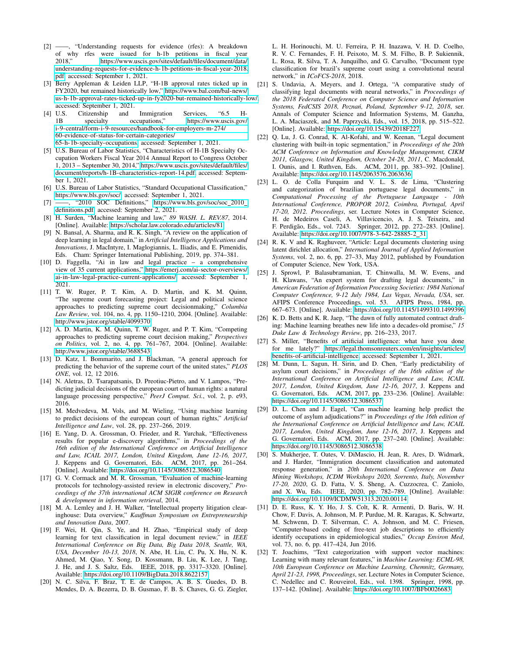- <span id="page-4-0"></span>[2] ——, "Understanding requests for evidence (rfes): A breakdown of why rfes were issued for h-1b petitions in fiscal year 2018." https://www.uscis.gov/sites/default/files/document/data/ https://www.uscis.gov/sites/default/files/document/data/ [understanding-requests-for-evidence-h-1b-petitions-in-fiscal-year-2018.](https://www.uscis.gov/sites/default/files/document/data/understanding-requests-for-evidence-h-1b-petitions-in-fiscal-year-2018.pdf) [pdf,](https://www.uscis.gov/sites/default/files/document/data/understanding-requests-for-evidence-h-1b-petitions-in-fiscal-year-2018.pdf) accessed: September 1, 2021.
- <span id="page-4-1"></span>[3] Berry Appleman & Leiden LLP, "H-1B approval rates ticked up in FY2020, but remained historically low," [https://www.bal.com/bal-news/](https://www.bal.com/bal-news/us-h-1b-approval-rates-ticked-up-in-fy2020-but-remained-historically-low/) [us-h-1b-approval-rates-ticked-up-in-fy2020-but-remained-historically-low/,](https://www.bal.com/bal-news/us-h-1b-approval-rates-ticked-up-in-fy2020-but-remained-historically-low/)
- <span id="page-4-2"></span>accessed: September 1, 2021.<br>[4] U.S. Citizenship and Citizenship and Immigration Services, "6.5 H-1B specialty occupations," [https://www.uscis.gov/](https://www.uscis.gov/i-9-central/form-i-9-resources/handbook-for-employers-m-274/60-evidence-of-status-for-certain-categories/65-h-1b-specialty-occupations) [i-9-central/form-i-9-resources/handbook-for-employers-m-274/](https://www.uscis.gov/i-9-central/form-i-9-resources/handbook-for-employers-m-274/60-evidence-of-status-for-certain-categories/65-h-1b-specialty-occupations) [60-evidence-of-status-for-certain-categories/](https://www.uscis.gov/i-9-central/form-i-9-resources/handbook-for-employers-m-274/60-evidence-of-status-for-certain-categories/65-h-1b-specialty-occupations) [65-h-1b-specialty-occupations,](https://www.uscis.gov/i-9-central/form-i-9-resources/handbook-for-employers-m-274/60-evidence-of-status-for-certain-categories/65-h-1b-specialty-occupations) accessed: September 1, 2021.
- <span id="page-4-3"></span>[5] U.S. Bureau of Labor Statistics, "Characteristics of H-1B Specialty Occupation Workers Fiscal Year 2014 Annual Report to Congress October 1, 2013 – September 30, 2014," [https://www.uscis.gov/sites/default/files/](https://www.uscis.gov/sites/default/files/document/reports/h-1B-characteristics-report-14.pdf) [document/reports/h-1B-characteristics-report-14.pdf,](https://www.uscis.gov/sites/default/files/document/reports/h-1B-characteristics-report-14.pdf) accessed: September 1, 2021.
- <span id="page-4-4"></span>[6] U.S. Bureau of Labor Statistics, "Standard Occupational Classification," [https://www.bls.gov/soc/,](https://www.bls.gov/soc/) accessed: September 1, 2021.
- <span id="page-4-5"></span>[7] ——, "2010 SOC Definitions," [https://www.bls.gov/soc/soc](https://www.bls.gov/soc/soc_2010_definitions.pdf)\_2010 [definitions.pdf,](https://www.bls.gov/soc/soc_2010_definitions.pdf) accessed: September 2, 2021.
- <span id="page-4-6"></span>[8] H. Surden, "Machine learning and law," *89 WASH. L. REV.87*, 2014. [Online]. Available:<https://scholar.law.colorado.edu/articles/81>
- [9] N. Bansal, A. Sharma, and R. K. Singh, "A review on the application of deep learning in legal domain," in *Artificial Intelligence Applications and Innovations*, J. MacIntyre, I. Maglogiannis, L. Iliadis, and E. Pimenidis, Eds. Cham: Springer International Publishing, 2019, pp. 374–381.
- <span id="page-4-7"></span>[10] D. Faggella, "Ai in law and legal practice – a comprehensive view of 35 current applications," [https://emerj.com/ai-sector-overviews/](https://emerj.com/ai-sector-overviews/ai-in-law-legal-practice-current-applications/) [ai-in-law-legal-practice-current-applications/,](https://emerj.com/ai-sector-overviews/ai-in-law-legal-practice-current-applications/) accessed: September 1, 2021.
- <span id="page-4-8"></span>[11] T. W. Ruger, P. T. Kim, A. D. Martin, and K. M. Quinn, "The supreme court forecasting project: Legal and political science approaches to predicting supreme court decisionmaking," *Columbia Law Review*, vol. 104, no. 4, pp. 1150–1210, 2004. [Online]. Available: <http://www.jstor.org/stable/4099370>
- [12] A. D. Martin, K. M. Quinn, T. W. Ruger, and P. T. Kim, "Competing approaches to predicting supreme court decision making," *Perspectives on Politics*, vol. 2, no. 4, pp. 761–767, 2004. [Online]. Available: <http://www.jstor.org/stable/3688543>
- [13] D. Katz, I. Bommarito, and J. Blackman, "A general approach for predicting the behavior of the supreme court of the united states," *PLOS ONE*, vol. 12, 12 2016.
- [14] N. Aletras, D. Tsarapatsanis, D. Preotiuc-Pietro, and V. Lampos, "Predicting judicial decisions of the european court of human rights: a natural language processing perspective," *PeerJ Comput. Sci.*, vol. 2, p. e93, 2016.
- <span id="page-4-9"></span>[15] M. Medvedeva, M. Vols, and M. Wieling, "Using machine learning to predict decisions of the european court of human rights," *Artificial Intelligence and Law*, vol. 28, pp. 237–266, 2019.
- <span id="page-4-10"></span>[16] E. Yang, D. A. Grossman, O. Frieder, and R. Yurchak, "Effectiveness" results for popular e-discovery algorithms," in *Proceedings of the 16th edition of the International Conference on Artificial Intelligence and Law, ICAIL 2017, London, United Kingdom, June 12-16, 2017*, J. Keppens and G. Governatori, Eds. ACM, 2017, pp. 261–264. [Online]. Available:<https://doi.org/10.1145/3086512.3086540>
- <span id="page-4-11"></span>[17] G. V. Cormack and M. R. Grossman, "Evaluation of machine-learning protocols for technology-assisted review in electronic discovery," *Proceedings of the 37th international ACM SIGIR conference on Research & development in information retrieval*, 2014.
- <span id="page-4-12"></span>[18] M. A. Lemley and J. H. Walker, "Intellectual property litigation clearinghouse: Data overview," *Kauffman Symposium on Entrepreneurship and Innovation Data*, 2007.
- [19] F. Wei, H. Qin, S. Ye, and H. Zhao, "Empirical study of deep learning for text classification in legal document review," in *IEEE International Conference on Big Data, Big Data 2018, Seattle, WA, USA, December 10-13, 2018*, N. Abe, H. Liu, C. Pu, X. Hu, N. K. Ahmed, M. Qiao, Y. Song, D. Kossmann, B. Liu, K. Lee, J. Tang, J. He, and J. S. Saltz, Eds. IEEE, 2018, pp. 3317–3320. [Online]. Available:<https://doi.org/10.1109/BigData.2018.8622157>
- [20] N. C. Silva, F. Braz, T. E. de Campos, A. B. S. Guedes, D. B. Mendes, D. A. Bezerra, D. B. Gusmao, F. B. S. Chaves, G. G. Ziegler,

L. H. Horinouchi, M. U. Ferreira, P. H. Inazawa, V. H. D. Coelho, R. V. C. Fernandes, F. H. Peixoto, M. S. M. Filho, B. P. Sukiennik, L. Rosa, R. Silva, T. A. Junquilho, and G. Carvalho, "Document type classification for brazil's supreme court using a convolutional neural network," in *ICoFCS-2018*, 2018.

- [21] S. Undavia, A. Meyers, and J. Ortega, "A comparative study of classifying legal documents with neural networks," in *Proceedings of the 2018 Federated Conference on Computer Science and Information Systems, FedCSIS 2018, Poznan, Poland, September 9-12, 2018 ´* , ser. Annals of Computer Science and Information Systems, M. Ganzha, L. A. Maciaszek, and M. Paprzycki, Eds., vol. 15, 2018, pp. 515–522. [Online]. Available:<https://doi.org/10.15439/2018F227>
- [22] Q. Lu, J. G. Conrad, K. Al-Kofahi, and W. Keenan, "Legal document clustering with built-in topic segmentation," in *Proceedings of the 20th ACM Conference on Information and Knowledge Management, CIKM 2011, Glasgow, United Kingdom, October 24-28, 2011*, C. Macdonald, I. Ounis, and I. Ruthven, Eds. ACM, 2011, pp. 383–392. [Online]. Available:<https://doi.org/10.1145/2063576.2063636>
- [23] L. O. de Colla Furquim and V. L. S. de Lima, "Clustering and categorization of brazilian portuguese legal documents," in *Computational Processing of the Portuguese Language - 10th International Conference, PROPOR 2012, Coimbra, Portugal, April 17-20, 2012. Proceedings*, ser. Lecture Notes in Computer Science, H. de Medeiros Caseli, A. Villavicencio, A. J. S. Teixeira, and F. Perdigão, Eds., vol. 7243. Springer, 2012, pp. 272–283. [Online]. Available: [https://doi.org/10.1007/978-3-642-28885-2](https://doi.org/10.1007/978-3-642-28885-2_31) 31
- <span id="page-4-13"></span>[24] R. K. V and K. Raghuveer, "Article: Legal documents clustering using latent dirichlet allocation," *International Journal of Applied Information Systems*, vol. 2, no. 6, pp. 27–33, May 2012, published by Foundation of Computer Science, New York, USA.
- <span id="page-4-14"></span>[25] J. Sprowl, P. Balasubramanian, T. Chinwalla, M. W. Evens, and H. Klawans, "An expert system for drafting legal documents," in *American Federation of Information Processing Societies: 1984 National Computer Conference, 9-12 July 1984, Las Vegas, Nevada, USA*, ser. AFIPS Conference Proceedings, vol. 53. AFIPS Press, 1984, pp. 667–673. [Online]. Available:<https://doi.org/10.1145/1499310.1499396>
- [26] K. D. Betts and K. R. Jaep, "The dawn of fully automated contract drafting: Machine learning breathes new life into a decades-old promise," *15 Duke Law & Technology Review*, pp. 216–233, 2017.
- <span id="page-4-15"></span>[27] S. Miller, "Benefits of artificial intelligence: what have you done for me lately?" [https://legal.thomsonreuters.com/en/insights/articles/](https://legal.thomsonreuters.com/en/insights/articles/benefits-of-artificial-intelligence) [benefits-of-artificial-intelligence,](https://legal.thomsonreuters.com/en/insights/articles/benefits-of-artificial-intelligence) accessed: September 1, 2021.
- <span id="page-4-16"></span>[28] M. Dunn, L. Sagun, H. Sirin, and D. Chen, "Early predictability of asylum court decisions," in *Proceedings of the 16th edition of the International Conference on Artificial Intelligence and Law, ICAIL 2017, London, United Kingdom, June 12-16, 2017*, J. Keppens and G. Governatori, Eds. ACM, 2017, pp. 233–236. [Online]. Available: <https://doi.org/10.1145/3086512.3086537>
- <span id="page-4-17"></span>[29] D. L. Chen and J. Eagel, "Can machine learning help predict the outcome of asylum adjudications?" in *Proceedings of the 16th edition of the International Conference on Artificial Intelligence and Law, ICAIL 2017, London, United Kingdom, June 12-16, 2017*, J. Keppens and G. Governatori, Eds. ACM, 2017, pp. 237–240. [Online]. Available: <https://doi.org/10.1145/3086512.3086538>
- <span id="page-4-18"></span>[30] S. Mukherjee, T. Oates, V. DiMascio, H. Jean, R. Ares, D. Widmark, and J. Harder, "Immigration document classification and automated response generation," in *20th International Conference on Data Mining Workshops, ICDM Workshops 2020, Sorrento, Italy, November 17-20, 2020*, G. D. Fatta, V. S. Sheng, A. Cuzzocrea, C. Zaniolo, and X. Wu, Eds. IEEE, 2020, pp. 782–789. [Online]. Available: <https://doi.org/10.1109/ICDMW51313.2020.00114>
- <span id="page-4-19"></span>[31] D. E. Russ, K. Y. Ho, J. S. Colt, K. R. Armenti, D. Baris, W. H. Chow, F. Davis, A. Johnson, M. P. Purdue, M. R. Karagas, K. Schwartz, M. Schwenn, D. T. Silverman, C. A. Johnson, and M. C. Friesen, "Computer-based coding of free-text job descriptions to efficiently identify occupations in epidemiological studies," *Occup Environ Med*, vol. 73, no. 6, pp. 417–424, Jun 2016.
- <span id="page-4-20"></span>[32] T. Joachims, "Text categorization with support vector machines: Learning with many relevant features," in *Machine Learning: ECML-98, 10th European Conference on Machine Learning, Chemnitz, Germany, April 21-23, 1998, Proceedings*, ser. Lecture Notes in Computer Science, C. Nedellec and C. Rouveirol, Eds., vol. 1398. Springer, 1998, pp. 137–142. [Online]. Available:<https://doi.org/10.1007/BFb0026683>